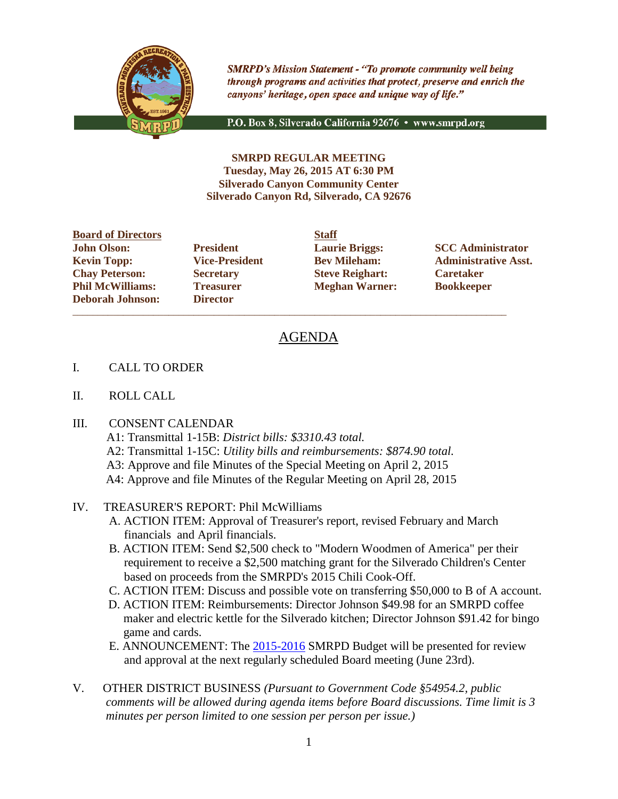

**SMRPD's Mission Statement - "To promote community well being** through programs and activities that protect, preserve and enrich the canyons' heritage, open space and unique way of life."

P.O. Box 8, Silverado California 92676 · www.smrpd.org

**SMRPD REGULAR MEETING Tuesday, May 26, 2015 AT 6:30 PM Silverado Canyon Community Center Silverado Canyon Rd, Silverado, CA 92676**

**Board of Directors Staff John Olson: President Laurie Briggs: SCC Administrator Chay Peterson: Secretary Steve Reighart: Caretaker Phil McWilliams: Treasurer Meghan Warner: Bookkeeper Deborah Johnson: Director**

\_\_\_\_\_\_\_\_\_\_\_\_\_\_\_\_\_\_\_\_\_\_\_\_\_\_\_\_\_\_\_\_\_\_\_\_\_\_\_\_\_\_\_\_\_\_\_\_\_\_\_\_\_\_\_\_\_\_\_\_\_\_\_\_\_\_\_\_\_\_\_\_\_\_\_\_\_\_\_\_\_\_\_\_\_\_

**Kevin Topp: Vice-President Bev Mileham: Administrative Asst.**

# AGENDA

- I. CALL TO ORDER
- II. ROLL CALL

#### III. CONSENT CALENDAR

- A1: Transmittal 1-15B: *District bills: \$3310.43 total.*
- A2: Transmittal 1-15C: *Utility bills and reimbursements: \$874.90 total.*
- A3: Approve and file Minutes of the Special Meeting on April 2, 2015
- A4: Approve and file Minutes of the Regular Meeting on April 28, 2015

# IV. TREASURER'S REPORT: Phil McWilliams

- A. ACTION ITEM: Approval of Treasurer's report, revised February and March financials and April financials.
- B. ACTION ITEM: Send \$2,500 check to "Modern Woodmen of America" per their requirement to receive a \$2,500 matching grant for the Silverado Children's Center based on proceeds from the SMRPD's 2015 Chili Cook-Off.
- C. ACTION ITEM: Discuss and possible vote on transferring \$50,000 to B of A account.
- D. ACTION ITEM: Reimbursements: Director Johnson \$49.98 for an SMRPD coffee maker and electric kettle for the Silverado kitchen; Director Johnson \$91.42 for bingo game and cards.
- E. ANNOUNCEMENT: The [2015-2016](tel:2015-2016) SMRPD Budget will be presented for review and approval at the next regularly scheduled Board meeting (June 23rd).
- V. OTHER DISTRICT BUSINESS *(Pursuant to Government Code §54954.2, public comments will be allowed during agenda items before Board discussions. Time limit is 3 minutes per person limited to one session per person per issue.)*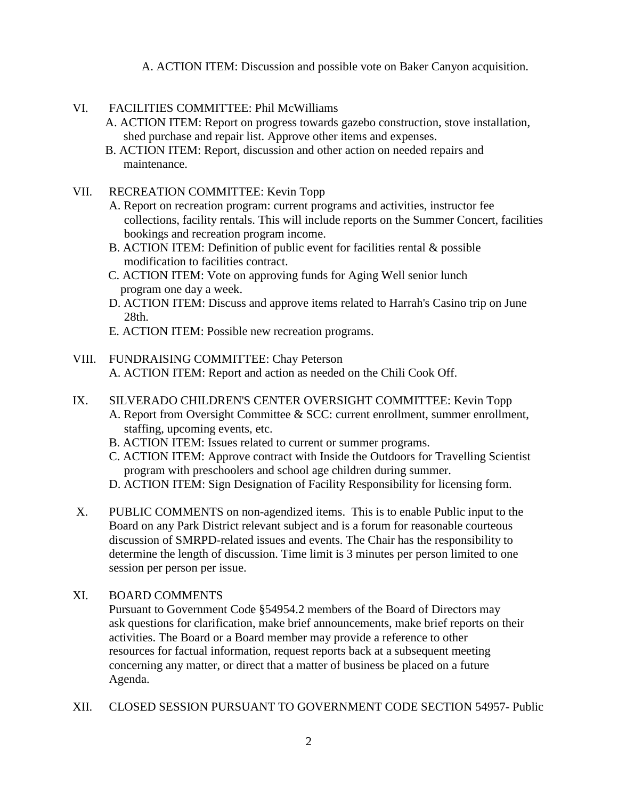A. ACTION ITEM: Discussion and possible vote on Baker Canyon acquisition.

## VI. FACILITIES COMMITTEE: Phil McWilliams

- A. ACTION ITEM: Report on progress towards gazebo construction, stove installation, shed purchase and repair list. Approve other items and expenses.
- B. ACTION ITEM: Report, discussion and other action on needed repairs and maintenance.

#### VII. RECREATION COMMITTEE: Kevin Topp

- A. Report on recreation program: current programs and activities, instructor fee collections, facility rentals. This will include reports on the Summer Concert, facilities bookings and recreation program income.
- B. ACTION ITEM: Definition of public event for facilities rental & possible modification to facilities contract.
- C. ACTION ITEM: Vote on approving funds for Aging Well senior lunch program one day a week.
- D. ACTION ITEM: Discuss and approve items related to Harrah's Casino trip on June 28th.
- E. ACTION ITEM: Possible new recreation programs.

# VIII. FUNDRAISING COMMITTEE: Chay Peterson

A. ACTION ITEM: Report and action as needed on the Chili Cook Off.

- IX. SILVERADO CHILDREN'S CENTER OVERSIGHT COMMITTEE: Kevin Topp
	- A. Report from Oversight Committee & SCC: current enrollment, summer enrollment, staffing, upcoming events, etc.
	- B. ACTION ITEM: Issues related to current or summer programs.
	- C. ACTION ITEM: Approve contract with Inside the Outdoors for Travelling Scientist program with preschoolers and school age children during summer.
	- D. ACTION ITEM: Sign Designation of Facility Responsibility for licensing form.
- X. PUBLIC COMMENTS on non-agendized items. This is to enable Public input to the Board on any Park District relevant subject and is a forum for reasonable courteous discussion of SMRPD-related issues and events. The Chair has the responsibility to determine the length of discussion. Time limit is 3 minutes per person limited to one session per person per issue.

#### XI. BOARD COMMENTS

Pursuant to Government Code §54954.2 members of the Board of Directors may ask questions for clarification, make brief announcements, make brief reports on their activities. The Board or a Board member may provide a reference to other resources for factual information, request reports back at a subsequent meeting concerning any matter, or direct that a matter of business be placed on a future Agenda.

XII. CLOSED SESSION PURSUANT TO GOVERNMENT CODE SECTION 54957- Public